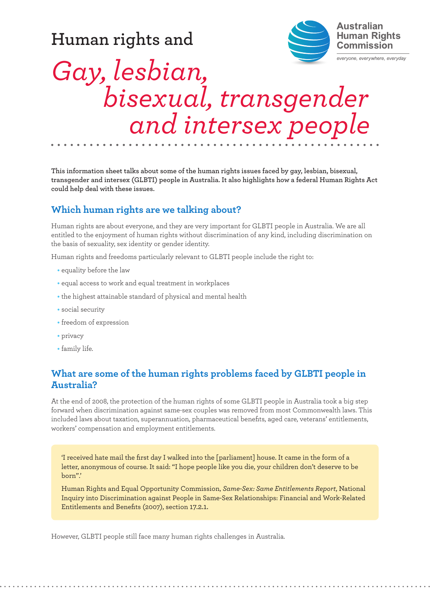**Human rights and**



# *Gay, lesbian, bisexual, transgender and intersex people*

**This information sheet talks about some of the human rights issues faced by gay, lesbian, bisexual, transgender and intersex (GLBTI) people in Australia. It also highlights how a federal Human Rights Act could help deal with these issues.**

#### **Which human rights are we talking about?**

Human rights are about everyone, and they are very important for GLBTI people in Australia. We are all entitled to the enjoyment of human rights without discrimination of any kind, including discrimination on the basis of sexuality, sex identity or gender identity.

Human rights and freedoms particularly relevant to GLBTI people include the right to:

- **•** equality before the law
- **•** equal access to work and equal treatment in workplaces
- **•** the highest attainable standard of physical and mental health
- **•** social security
- **•** freedom of expression
- **•** privacy
- **•** family life.

## **What are some of the human rights problems faced by GLBTI people in Australia?**

At the end of 2008, the protection of the human rights of some GLBTI people in Australia took a big step forward when discrimination against same-sex couples was removed from most Commonwealth laws. This included laws about taxation, superannuation, pharmaceutical benefits, aged care, veterans' entitlements, workers' compensation and employment entitlements.

'I received hate mail the first day I walked into the [parliament] house. It came in the form of a letter, anonymous of course. It said: "I hope people like you die, your children don't deserve to be born".'

Human Rights and Equal Opportunity Commission, *Same-Sex: Same Entitlements Report*, National Inquiry into Discrimination against People in Same-Sex Relationships: Financial and Work-Related Entitlements and Benefits (2007), section 17.2.1.

However, GLBTI people still face many human rights challenges in Australia.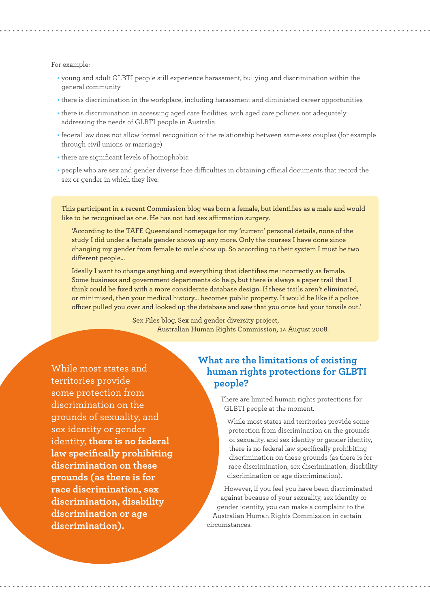For example:

- **•** young and adult GLBTI people still experience harassment, bullying and discrimination within the general community
- **•** there is discrimination in the workplace, including harassment and diminished career opportunities
- **•** there is discrimination in accessing aged care facilities, with aged care policies not adequately addressing the needs of GLBTI people in Australia
- **•** federal law does not allow formal recognition of the relationship between same-sex couples (for example through civil unions or marriage)
- **•** there are significant levels of homophobia
- **•** people who are sex and gender diverse face difficulties in obtaining official documents that record the sex or gender in which they live.

This participant in a recent Commission blog was born a female, but identifies as a male and would like to be recognised as one. He has not had sex affirmation surgery.

'According to the TAFE Queensland homepage for my 'current' personal details, none of the study I did under a female gender shows up any more. Only the courses I have done since changing my gender from female to male show up. So according to their system I must be two different people…

Ideally I want to change anything and everything that identifies me incorrectly as female. Some business and government departments do help, but there is always a paper trail that I think could be fixed with a more considerate database design. If these trails aren't eliminated, or minimised, then your medical history… becomes public property. It would be like if a police officer pulled you over and looked up the database and saw that you once had your tonsils out.'

> Sex Files blog, Sex and gender diversity project, Australian Human Rights Commission, 14 August 2008.

While most states and territories provide some protection from discrimination on the grounds of sexuality, and sex identity or gender identity, **there is no federal law specifically prohibiting discrimination on these grounds (as there is for race discrimination, sex discrimination, disability discrimination or age discrimination).**

#### **What are the limitations of existing human rights protections for GLBTI people?**

There are limited human rights protections for GLBTI people at the moment.

While most states and territories provide some protection from discrimination on the grounds of sexuality, and sex identity or gender identity, there is no federal law specifically prohibiting discrimination on these grounds (as there is for race discrimination, sex discrimination, disability discrimination or age discrimination).

However, if you feel you have been discriminated against because of your sexuality, sex identity or gender identity, you can make a complaint to the Australian Human Rights Commission in certain circumstances.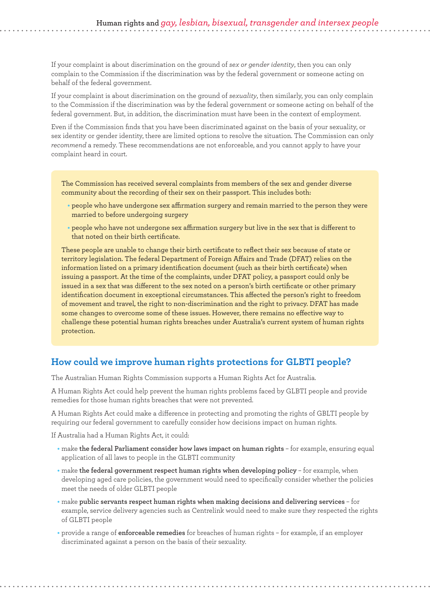If your complaint is about discrimination on the ground of *sex or gender identity*, then you can only complain to the Commission if the discrimination was by the federal government or someone acting on behalf of the federal government.

If your complaint is about discrimination on the ground of *sexuality*, then similarly, you can only complain to the Commission if the discrimination was by the federal government or someone acting on behalf of the federal government. But, in addition, the discrimination must have been in the context of employment.

Even if the Commission finds that you have been discriminated against on the basis of your sexuality, or sex identity or gender identity, there are limited options to resolve the situation. The Commission can only *recommend* a remedy. These recommendations are not enforceable, and you cannot apply to have your complaint heard in court.

The Commission has received several complaints from members of the sex and gender diverse community about the recording of their sex on their passport. This includes both:

- **•** people who have undergone sex affirmation surgery and remain married to the person they were married to before undergoing surgery
- **•** people who have not undergone sex affirmation surgery but live in the sex that is different to that noted on their birth certificate.

These people are unable to change their birth certificate to reflect their sex because of state or territory legislation. The federal Department of Foreign Affairs and Trade (DFAT) relies on the information listed on a primary identification document (such as their birth certificate) when issuing a passport. At the time of the complaints, under DFAT policy, a passport could only be issued in a sex that was different to the sex noted on a person's birth certificate or other primary identification document in exceptional circumstances. This affected the person's right to freedom of movement and travel, the right to non-discrimination and the right to privacy. DFAT has made some changes to overcome some of these issues. However, there remains no effective way to challenge these potential human rights breaches under Australia's current system of human rights protection.

#### **How could we improve human rights protections for GLBTI people?**

The Australian Human Rights Commission supports a Human Rights Act for Australia.

A Human Rights Act could help prevent the human rights problems faced by GLBTI people and provide remedies for those human rights breaches that were not prevented.

A Human Rights Act could make a difference in protecting and promoting the rights of GBLTI people by requiring our federal government to carefully consider how decisions impact on human rights.

If Australia had a Human Rights Act, it could:

- **•** make **the federal Parliament consider how laws impact on human rights** for example, ensuring equal application of all laws to people in the GLBTI community
- **•** make **the federal government respect human rights when developing policy** for example, when developing aged care policies, the government would need to specifically consider whether the policies meet the needs of older GLBTI people
- **•** make **public servants respect human rights when making decisions and delivering services** for example, service delivery agencies such as Centrelink would need to make sure they respected the rights of GLBTI people
- **•** provide a range of **enforceable remedies** for breaches of human rights for example, if an employer discriminated against a person on the basis of their sexuality.